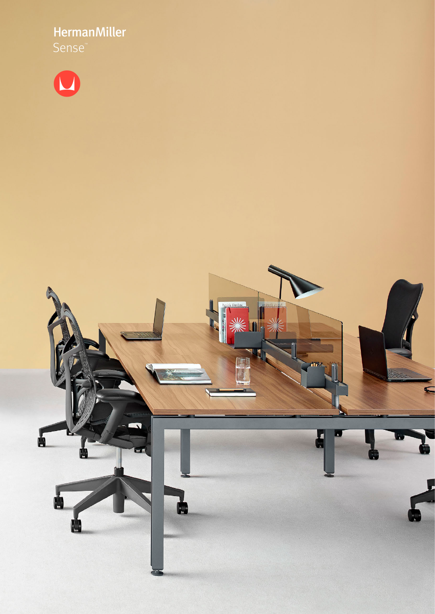HermanMiller



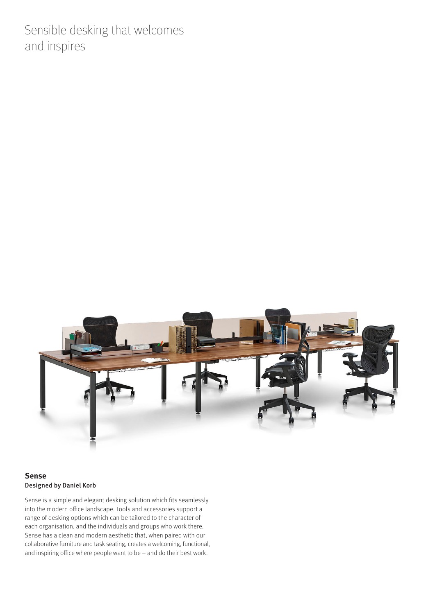Sensible desking that welcomes and inspires



# **Sense** Designed by Daniel Korb

Sense is a simple and elegant desking solution which fits seamlessly into the modern office landscape. Tools and accessories support a range of desking options which can be tailored to the character of each organisation, and the individuals and groups who work there. Sense has a clean and modern aesthetic that, when paired with our collaborative furniture and task seating, creates a welcoming, functional, and inspiring office where people want to be – and do their best work.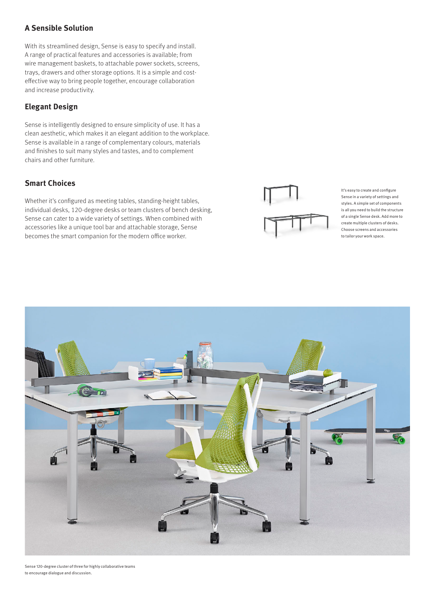# **A Sensible Solution**

With its streamlined design, Sense is easy to specify and install. A range of practical features and accessories is available; from wire management baskets, to attachable power sockets, screens, trays, drawers and other storage options. It is a simple and costeffective way to bring people together, encourage collaboration and increase productivity.

### **Elegant Design**

Sense is intelligently designed to ensure simplicity of use. It has a clean aesthetic, which makes it an elegant addition to the workplace. Sense is available in a range of complementary colours, materials and finishes to suit many styles and tastes, and to complement chairs and other furniture.

# **Smart Choices**

Whether it's configured as meeting tables, standing-height tables, individual desks, 120-degree desks or team clusters of bench desking, Sense can cater to a wide variety of settings. When combined with accessories like a unique tool bar and attachable storage, Sense becomes the smart companion for the modern office worker.



It's easy to create and configure Sense in a variety of settings and styles. A simple set of components is all you need to build the structure of a single Sense desk. Add more to create multiple clusters of desks. Choose screens and accessories to tailor your work space.



Sense 120-degree cluster of three for highly collaborative teams to encourage dialogue and discussion.